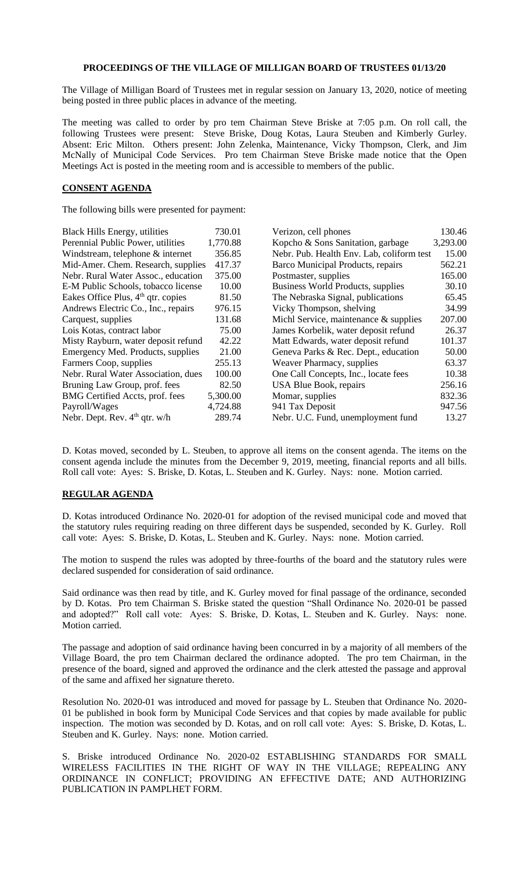## **PROCEEDINGS OF THE VILLAGE OF MILLIGAN BOARD OF TRUSTEES 01/13/20**

The Village of Milligan Board of Trustees met in regular session on January 13, 2020, notice of meeting being posted in three public places in advance of the meeting.

The meeting was called to order by pro tem Chairman Steve Briske at 7:05 p.m. On roll call, the following Trustees were present: Steve Briske, Doug Kotas, Laura Steuben and Kimberly Gurley. Absent: Eric Milton. Others present: John Zelenka, Maintenance, Vicky Thompson, Clerk, and Jim McNally of Municipal Code Services. Pro tem Chairman Steve Briske made notice that the Open Meetings Act is posted in the meeting room and is accessible to members of the public.

## **CONSENT AGENDA**

The following bills were presented for payment:

| 730.01                                       | Verizon, cell phones                  | 130.46                                    |
|----------------------------------------------|---------------------------------------|-------------------------------------------|
| 1,770.88                                     | Kopcho & Sons Sanitation, garbage     | 3,293.00                                  |
| 356.85                                       |                                       | 15.00                                     |
| 417.37<br>Mid-Amer. Chem. Research, supplies | Barco Municipal Products, repairs     | 562.21                                    |
| 375.00                                       | Postmaster, supplies                  | 165.00                                    |
| 10.00                                        | Business World Products, supplies     | 30.10                                     |
| 81.50                                        | The Nebraska Signal, publications     | 65.45                                     |
| 976.15                                       | Vicky Thompson, shelving              | 34.99                                     |
| 131.68                                       | Michl Service, maintenance & supplies | 207.00                                    |
| 75.00                                        | James Korbelik, water deposit refund  | 26.37                                     |
| 42.22                                        | Matt Edwards, water deposit refund    | 101.37                                    |
| 21.00                                        | Geneva Parks & Rec. Dept., education  | 50.00                                     |
| 255.13                                       | Weaver Pharmacy, supplies             | 63.37                                     |
| 100.00                                       | One Call Concepts, Inc., locate fees  | 10.38                                     |
| 82.50                                        | USA Blue Book, repairs                | 256.16                                    |
| 5,300.00                                     | Momar, supplies                       | 832.36                                    |
| 4,724.88                                     | 941 Tax Deposit                       | 947.56                                    |
| 289.74                                       | Nebr. U.C. Fund, unemployment fund    | 13.27                                     |
|                                              |                                       | Nebr. Pub. Health Env. Lab, coliform test |

D. Kotas moved, seconded by L. Steuben, to approve all items on the consent agenda. The items on the consent agenda include the minutes from the December 9, 2019, meeting, financial reports and all bills. Roll call vote: Ayes: S. Briske, D. Kotas, L. Steuben and K. Gurley. Nays: none. Motion carried.

## **REGULAR AGENDA**

D. Kotas introduced Ordinance No. 2020-01 for adoption of the revised municipal code and moved that the statutory rules requiring reading on three different days be suspended, seconded by K. Gurley. Roll call vote: Ayes: S. Briske, D. Kotas, L. Steuben and K. Gurley. Nays: none. Motion carried.

The motion to suspend the rules was adopted by three-fourths of the board and the statutory rules were declared suspended for consideration of said ordinance.

Said ordinance was then read by title, and K. Gurley moved for final passage of the ordinance, seconded by D. Kotas. Pro tem Chairman S. Briske stated the question "Shall Ordinance No. 2020-01 be passed and adopted?" Roll call vote: Ayes: S. Briske, D. Kotas, L. Steuben and K. Gurley. Nays: none. Motion carried.

The passage and adoption of said ordinance having been concurred in by a majority of all members of the Village Board, the pro tem Chairman declared the ordinance adopted. The pro tem Chairman, in the presence of the board, signed and approved the ordinance and the clerk attested the passage and approval of the same and affixed her signature thereto.

Resolution No. 2020-01 was introduced and moved for passage by L. Steuben that Ordinance No. 2020- 01 be published in book form by Municipal Code Services and that copies by made available for public inspection. The motion was seconded by D. Kotas, and on roll call vote: Ayes: S. Briske, D. Kotas, L. Steuben and K. Gurley. Nays: none. Motion carried.

S. Briske introduced Ordinance No. 2020-02 ESTABLISHING STANDARDS FOR SMALL WIRELESS FACILITIES IN THE RIGHT OF WAY IN THE VILLAGE; REPEALING ANY ORDINANCE IN CONFLICT; PROVIDING AN EFFECTIVE DATE; AND AUTHORIZING PUBLICATION IN PAMPLHET FORM.